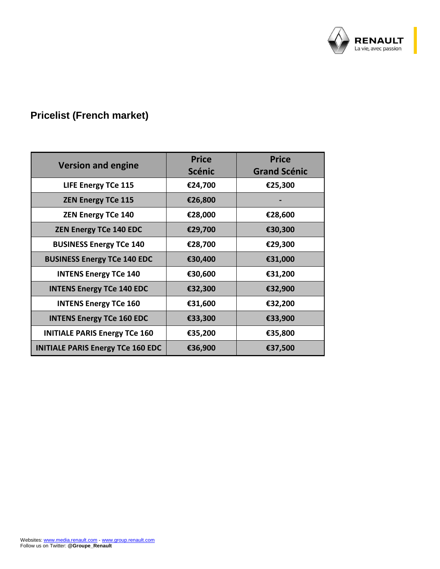

## **Pricelist (French market)**

|                                          | <b>Price</b>  | <b>Price</b>        |  |  |
|------------------------------------------|---------------|---------------------|--|--|
| <b>Version and engine</b>                | <b>Scénic</b> | <b>Grand Scénic</b> |  |  |
| <b>LIFE Energy TCe 115</b>               | €24,700       | €25,300             |  |  |
| <b>ZEN Energy TCe 115</b>                | €26,800       |                     |  |  |
| <b>ZEN Energy TCe 140</b>                | €28,000       | €28,600             |  |  |
| <b>ZEN Energy TCe 140 EDC</b>            | €29,700       | €30,300             |  |  |
| <b>BUSINESS Energy TCe 140</b>           | €28,700       | €29,300             |  |  |
| <b>BUSINESS Energy TCe 140 EDC</b>       | €30,400       | €31,000             |  |  |
| <b>INTENS Energy TCe 140</b>             | €30,600       | €31,200             |  |  |
| <b>INTENS Energy TCe 140 EDC</b>         | €32,300       | €32,900             |  |  |
| <b>INTENS Energy TCe 160</b>             | €31,600       | €32,200             |  |  |
| <b>INTENS Energy TCe 160 EDC</b>         | €33,300       | €33,900             |  |  |
| <b>INITIALE PARIS Energy TCe 160</b>     | €35,200       | €35,800             |  |  |
| <b>INITIALE PARIS Energy TCe 160 EDC</b> | €36,900       | €37,500             |  |  |